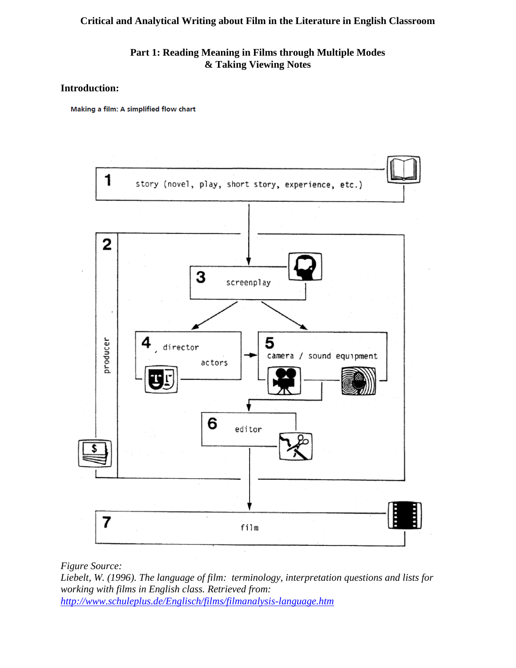**Part 1: Reading Meaning in Films through Multiple Modes & Taking Viewing Notes**

#### **Introduction:**

Making a film: A simplified flow chart



*Figure Source:* 

*Liebelt, W. (1996). The language of film: terminology, interpretation questions and lists for working with films in English class. Retrieved from: <http://www.schuleplus.de/Englisch/films/filmanalysis-language.htm>*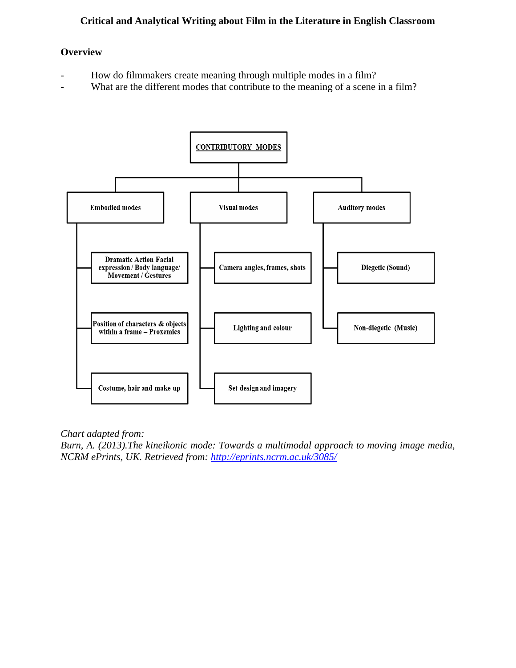#### **Overview**

- How do filmmakers create meaning through multiple modes in a film?
- What are the different modes that contribute to the meaning of a scene in a film?



*Chart adapted from:* 

*Burn, A. (2013).The kineikonic mode: Towards a multimodal approach to moving image media, NCRM ePrints, UK. Retrieved from:<http://eprints.ncrm.ac.uk/3085/>*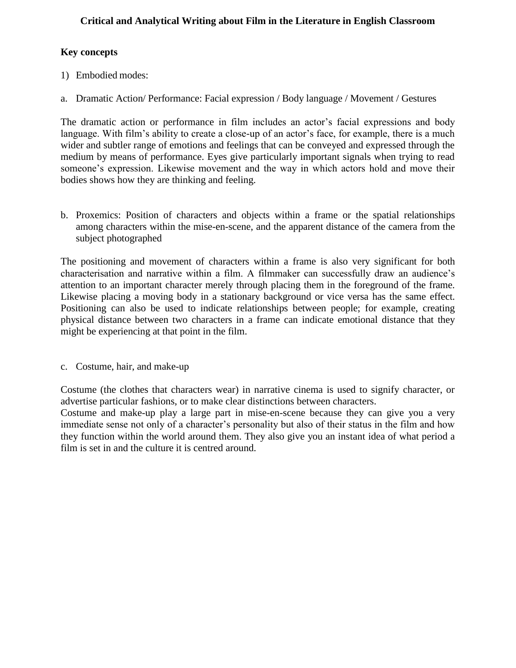## **Key concepts**

- 1) Embodied modes:
- a. Dramatic Action/ Performance: Facial expression / Body language / Movement / Gestures

The dramatic action or performance in film includes an actor's facial expressions and body language. With film's ability to create a close-up of an actor's face, for example, there is a much wider and subtler range of emotions and feelings that can be conveyed and expressed through the medium by means of performance. Eyes give particularly important signals when trying to read someone's expression. Likewise movement and the way in which actors hold and move their bodies shows how they are thinking and feeling.

b. Proxemics: Position of characters and objects within a frame or the spatial relationships among characters within the mise-en-scene, and the apparent distance of the camera from the subject photographed

The positioning and movement of characters within a frame is also very significant for both characterisation and narrative within a film. A filmmaker can successfully draw an audience's attention to an important character merely through placing them in the foreground of the frame. Likewise placing a moving body in a stationary background or vice versa has the same effect. Positioning can also be used to indicate relationships between people; for example, creating physical distance between two characters in a frame can indicate emotional distance that they might be experiencing at that point in the film.

c. Costume, hair, and make-up

Costume (the clothes that characters wear) in narrative cinema is used to signify character, or advertise particular fashions, or to make clear distinctions between characters.

Costume and make-up play a large part in mise-en-scene because they can give you a very immediate sense not only of a character's personality but also of their status in the film and how they function within the world around them. They also give you an instant idea of what period a film is set in and the culture it is centred around.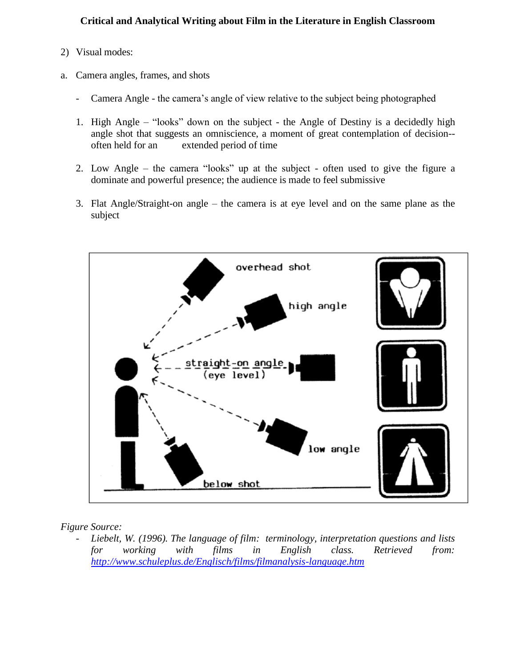- 2) Visual modes:
- a. Camera angles, frames, and shots
	- Camera Angle the camera's angle of view relative to the subject being photographed
	- 1. High Angle "looks" down on the subject the Angle of Destiny is a decidedly high angle shot that suggests an omniscience, a moment of great contemplation of decision- often held for an extended period of time
	- 2. Low Angle the camera "looks" up at the subject often used to give the figure a dominate and powerful presence; the audience is made to feel submissive
	- 3. Flat Angle/Straight-on angle the camera is at eye level and on the same plane as the subject



*Figure Source:* 

- *Liebelt, W. (1996). The language of film: terminology, interpretation questions and lists for working with films in English class. Retrieved from: <http://www.schuleplus.de/Englisch/films/filmanalysis-language.htm>*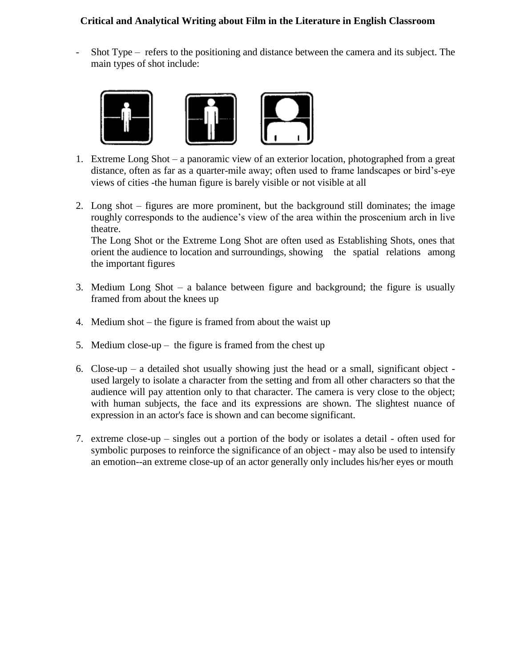- Shot Type – refers to the positioning and distance between the camera and its subject. The main types of shot include:



- 1. Extreme Long Shot a panoramic view of an exterior location, photographed from a great distance, often as far as a quarter-mile away; often used to frame landscapes or bird's-eye views of cities -the human figure is barely visible or not visible at all
- 2. Long shot figures are more prominent, but the background still dominates; the image roughly corresponds to the audience's view of the area within the proscenium arch in live theatre.

The Long Shot or the Extreme Long Shot are often used as Establishing Shots, ones that orient the audience to location and surroundings, showing the spatial relations among the important figures

- 3. Medium Long Shot a balance between figure and background; the figure is usually framed from about the knees up
- 4. Medium shot the figure is framed from about the waist up
- 5. Medium close-up the figure is framed from the chest up
- 6. Close-up a detailed shot usually showing just the head or a small, significant object used largely to isolate a character from the setting and from all other characters so that the audience will pay attention only to that character. The camera is very close to the object; with human subjects, the face and its expressions are shown. The slightest nuance of expression in an actor's face is shown and can become significant.
- 7. extreme close-up singles out a portion of the body or isolates a detail often used for symbolic purposes to reinforce the significance of an object - may also be used to intensify an emotion--an extreme close-up of an actor generally only includes his/her eyes or mouth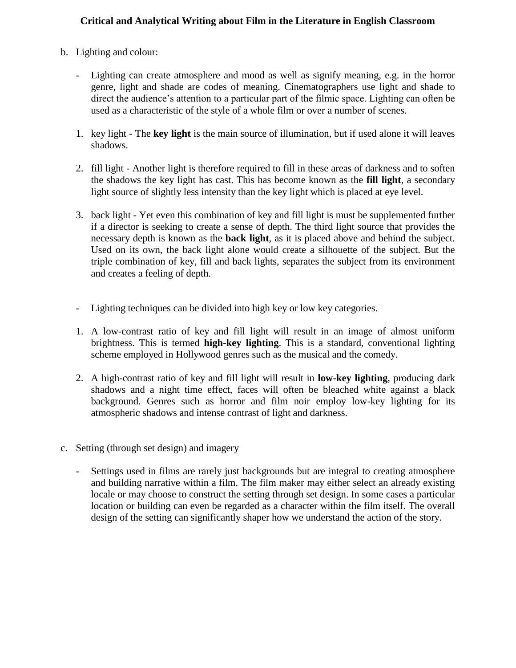- b. Lighting and colour:
	- Lighting can create atmosphere and mood as well as signify meaning, e.g. in the horror genre, light and shade are codes of meaning. Cinematographers use light and shade to direct the audience's attention to a particular part of the filmic space. Lighting can often be used as a characteristic of the style of a whole film or over a number of scenes.
	- 1. key light The **key light** is the main source of illumination, but if used alone it will leaves shadows.
	- 2. fill light Another light is therefore required to fill in these areas of darkness and to soften the shadows the key light has cast. This has become known as the **fill light**, a secondary light source of slightly less intensity than the key light which is placed at eye level.
	- 3. back light Yet even this combination of key and fill light is must be supplemented further if a director is seeking to create a sense of depth. The third light source that provides the necessary depth is known as the **back light**, as it is placed above and behind the subject. Used on its own, the back light alone would create a silhouette of the subject. But the triple combination of key, fill and back lights, separates the subject from its environment and creates a feeling of depth.
	- Lighting techniques can be divided into high key or low key categories.
	- 1. A low-contrast ratio of key and fill light will result in an image of almost uniform brightness. This is termed **high-key lighting**. This is a standard, conventional lighting scheme employed in Hollywood genres such as the musical and the comedy.
	- 2. A high-contrast ratio of key and fill light will result in **low-key lighting**, producing dark shadows and a night time effect, faces will often be bleached white against a black background. Genres such as horror and film noir employ low-key lighting for its atmospheric shadows and intense contrast of light and darkness.
- c. Setting (through set design) and imagery
	- Settings used in films are rarely just backgrounds but are integral to creating atmosphere and building narrative within a film. The film maker may either select an already existing locale or may choose to construct the setting through set design. In some cases a particular location or building can even be regarded as a character within the film itself. The overall design of the setting can significantly shaper how we understand the action of the story.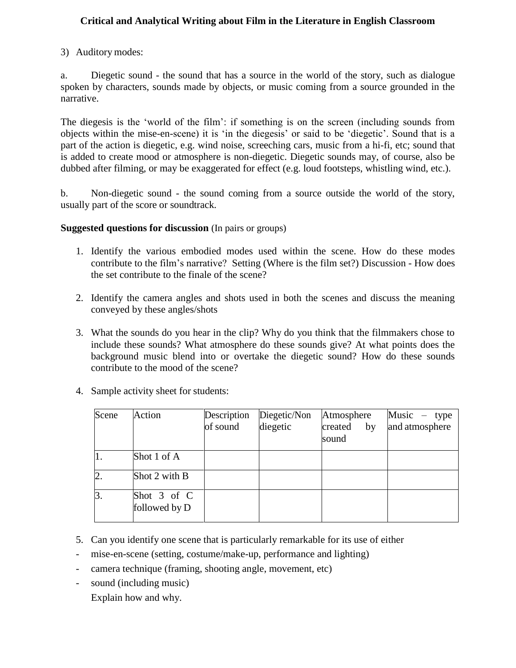3) Auditory modes:

a. Diegetic sound - the sound that has a source in the world of the story, such as dialogue spoken by characters, sounds made by objects, or music coming from a source grounded in the narrative.

The diegesis is the 'world of the film': if something is on the screen (including sounds from objects within the mise-en-scene) it is 'in the diegesis' or said to be 'diegetic'. Sound that is a part of the action is diegetic, e.g. wind noise, screeching cars, music from a hi-fi, etc; sound that is added to create mood or atmosphere is non-diegetic. Diegetic sounds may, of course, also be dubbed after filming, or may be exaggerated for effect (e.g. loud footsteps, whistling wind, etc.).

b. Non-diegetic sound - the sound coming from a source outside the world of the story, usually part of the score or soundtrack.

### **Suggested questions for discussion** (In pairs or groups)

- 1. Identify the various embodied modes used within the scene. How do these modes contribute to the film's narrative? Setting (Where is the film set?) Discussion - How does the set contribute to the finale of the scene?
- 2. Identify the camera angles and shots used in both the scenes and discuss the meaning conveyed by these angles/shots
- 3. What the sounds do you hear in the clip? Why do you think that the filmmakers chose to include these sounds? What atmosphere do these sounds give? At what points does the background music blend into or overtake the diegetic sound? How do these sounds contribute to the mood of the scene?

type

| Scene | Sample activity sheet for students:<br>Action |                         |                          |                                      |                                  |
|-------|-----------------------------------------------|-------------------------|--------------------------|--------------------------------------|----------------------------------|
|       |                                               | Description<br>of sound | Diegetic/Non<br>diegetic | Atmosphere<br>created<br>by<br>sound | Music $-$ type<br>and atmosphere |
|       | Shot 1 of A                                   |                         |                          |                                      |                                  |
| ∠.    | Shot 2 with B                                 |                         |                          |                                      |                                  |
| З.    | Shot 3 of C<br>followed by D                  |                         |                          |                                      |                                  |

4. Sample activity sheet for students:

- 5. Can you identify one scene that is particularly remarkable for its use of either
- mise-en-scene (setting, costume/make-up, performance and lighting)
- camera technique (framing, shooting angle, movement, etc)
- sound (including music)
	- Explain how and why.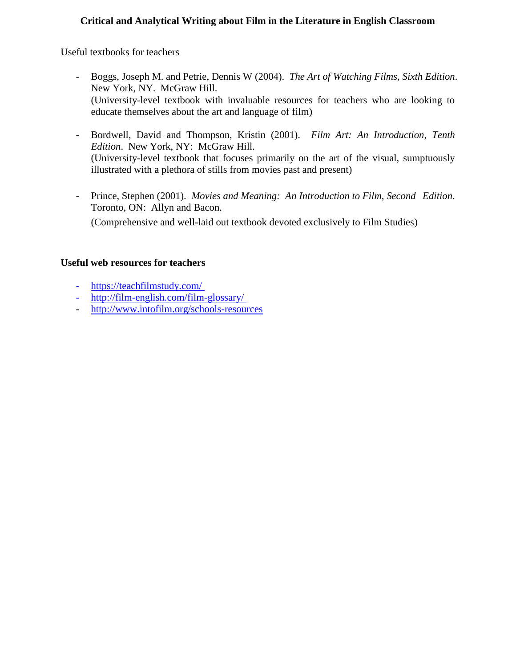Useful textbooks for teachers

- Boggs, Joseph M. and Petrie, Dennis W (2004). *The Art of Watching Films, Sixth Edition*. New York, NY. McGraw Hill. (University-level textbook with invaluable resources for teachers who are looking to educate themselves about the art and language of film)
- Bordwell, David and Thompson, Kristin (2001). *Film Art: An Introduction*, *Tenth Edition*. New York, NY: McGraw Hill. (University-level textbook that focuses primarily on the art of the visual, sumptuously illustrated with a plethora of stills from movies past and present)
- Prince, Stephen (2001). *Movies and Meaning: An Introduction to Film, Second Edition*. Toronto, ON: Allyn and Bacon. (Comprehensive and well-laid out textbook devoted exclusively to Film Studies)

### **Useful web resources for teachers**

- <https://teachfilmstudy.com/>
- <http://film-english.com/film-glossary/>
- <http://www.intofilm.org/schools-resources>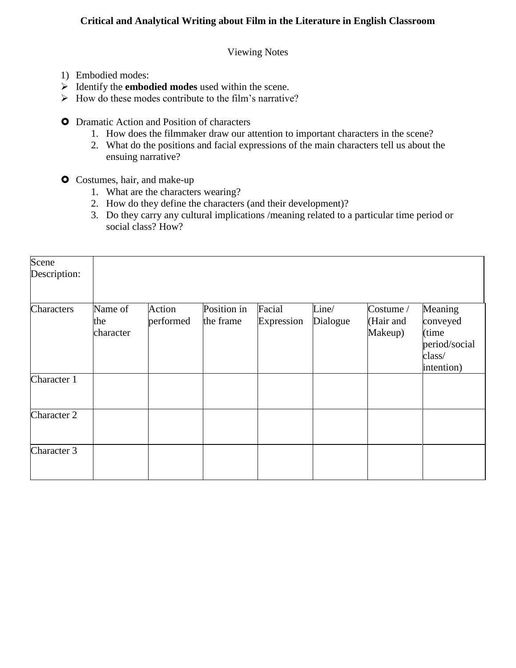Viewing Notes

- 1) Embodied modes:
- Identify the **embodied modes** used within the scene.
- $\triangleright$  How do these modes contribute to the film's narrative?
- **O** Dramatic Action and Position of characters
	- 1. How does the filmmaker draw our attention to important characters in the scene?
	- 2. What do the positions and facial expressions of the main characters tell us about the ensuing narrative?
- **O** Costumes, hair, and make-up
	- 1. What are the characters wearing?
	- 2. How do they define the characters (and their development)?
	- 3. Do they carry any cultural implications /meaning related to a particular time period or social class? How?

| Scene<br>Description: |                             |                     |                          |                      |                   |                                                     |                                                          |
|-----------------------|-----------------------------|---------------------|--------------------------|----------------------|-------------------|-----------------------------------------------------|----------------------------------------------------------|
| Characters            | Name of<br>the<br>character | Action<br>performed | Position in<br>the frame | Facial<br>Expression | Line/<br>Dialogue | $\text{Costume} / \text{ }$<br>(Hair and<br>Makeup) | Meaning<br>conveyed<br>(time)<br>period/social<br>class/ |
| Character 1           |                             |                     |                          |                      |                   |                                                     | intention)                                               |
| Character 2           |                             |                     |                          |                      |                   |                                                     |                                                          |
| Character 3           |                             |                     |                          |                      |                   |                                                     |                                                          |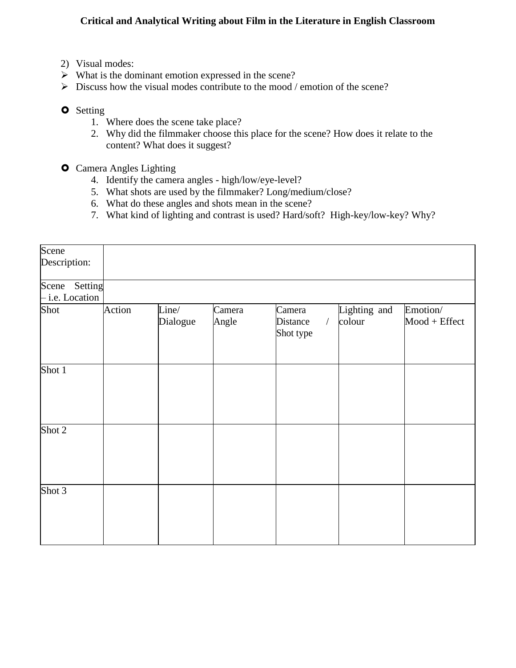- 2) Visual modes:
- $\triangleright$  What is the dominant emotion expressed in the scene?
- $\triangleright$  Discuss how the visual modes contribute to the mood / emotion of the scene?
- **O** Setting
	- 1. Where does the scene take place?
	- 2. Why did the filmmaker choose this place for the scene? How does it relate to the content? What does it suggest?
- **O** Camera Angles Lighting
	- 4. Identify the camera angles high/low/eye-level?
	- 5. What shots are used by the filmmaker? Long/medium/close?
	- 6. What do these angles and shots mean in the scene?
	- 7. What kind of lighting and contrast is used? Hard/soft? High-key/low-key? Why?

| Scene<br>Description:            |        |                   |                 |                                               |                        |                            |
|----------------------------------|--------|-------------------|-----------------|-----------------------------------------------|------------------------|----------------------------|
| Scene Setting<br>- i.e. Location |        |                   |                 |                                               |                        |                            |
| Shot                             | Action | Line/<br>Dialogue | Camera<br>Angle | Camera<br>$\sqrt{2}$<br>Distance<br>Shot type | Lighting and<br>colour | Emotion/<br>$Mod + Effect$ |
| Shot 1                           |        |                   |                 |                                               |                        |                            |
| Shot 2                           |        |                   |                 |                                               |                        |                            |
| Shot 3                           |        |                   |                 |                                               |                        |                            |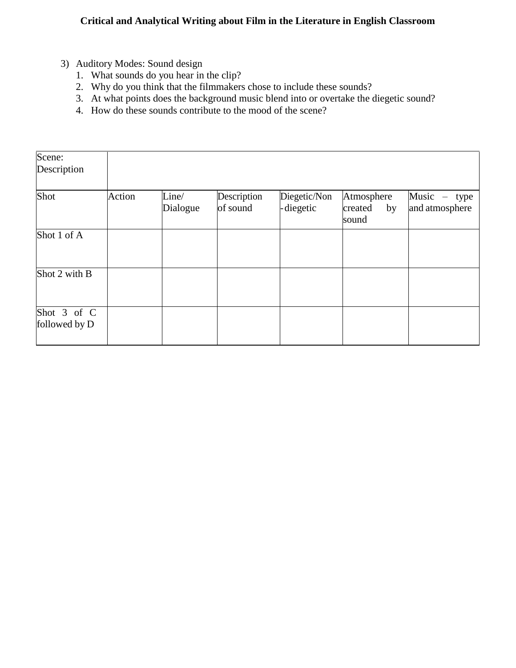- 3) Auditory Modes: Sound design
	- 1. What sounds do you hear in the clip?
	- 2. Why do you think that the filmmakers chose to include these sounds?
	- 3. At what points does the background music blend into or overtake the diegetic sound?
	- 4. How do these sounds contribute to the mood of the scene?

| Scene:<br>Description        |        |                   |                         |                           |                                      |                                     |
|------------------------------|--------|-------------------|-------------------------|---------------------------|--------------------------------------|-------------------------------------|
| Shot                         | Action | Line/<br>Dialogue | Description<br>of sound | Diegetic/Non<br>-diegetic | Atmosphere<br>created<br>by<br>sound | Music $-$<br>type<br>and atmosphere |
| Shot 1 of A                  |        |                   |                         |                           |                                      |                                     |
| Shot 2 with B                |        |                   |                         |                           |                                      |                                     |
| Shot 3 of C<br>followed by D |        |                   |                         |                           |                                      |                                     |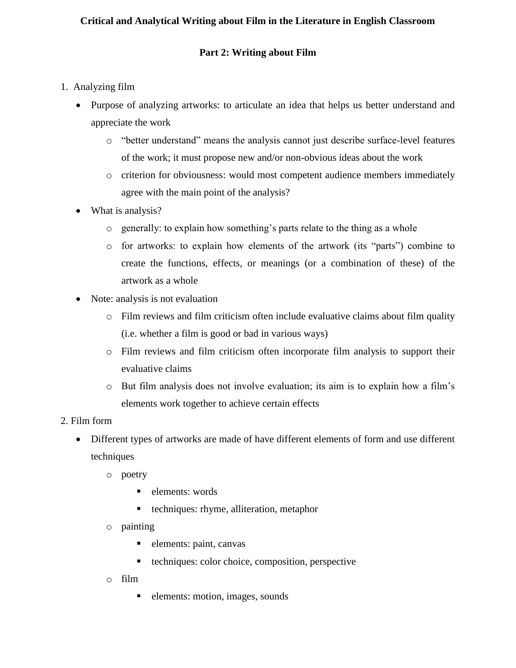## **Part 2: Writing about Film**

- 1. Analyzing film
	- Purpose of analyzing artworks: to articulate an idea that helps us better understand and appreciate the work
		- o "better understand" means the analysis cannot just describe surface-level features of the work; it must propose new and/or non-obvious ideas about the work
		- o criterion for obviousness: would most competent audience members immediately agree with the main point of the analysis?
	- What is analysis?
		- o generally: to explain how something's parts relate to the thing as a whole
		- o for artworks: to explain how elements of the artwork (its "parts") combine to create the functions, effects, or meanings (or a combination of these) of the artwork as a whole
	- Note: analysis is not evaluation
		- o Film reviews and film criticism often include evaluative claims about film quality (i.e. whether a film is good or bad in various ways)
		- o Film reviews and film criticism often incorporate film analysis to support their evaluative claims
		- o But film analysis does not involve evaluation; its aim is to explain how a film's elements work together to achieve certain effects
- 2. Film form
	- Different types of artworks are made of have different elements of form and use different techniques
		- o poetry
			- $\blacksquare$  elements: words
			- techniques: rhyme, alliteration, metaphor
		- o painting
			- elements: paint, canvas
			- techniques: color choice, composition, perspective
		- o film
			- elements: motion, images, sounds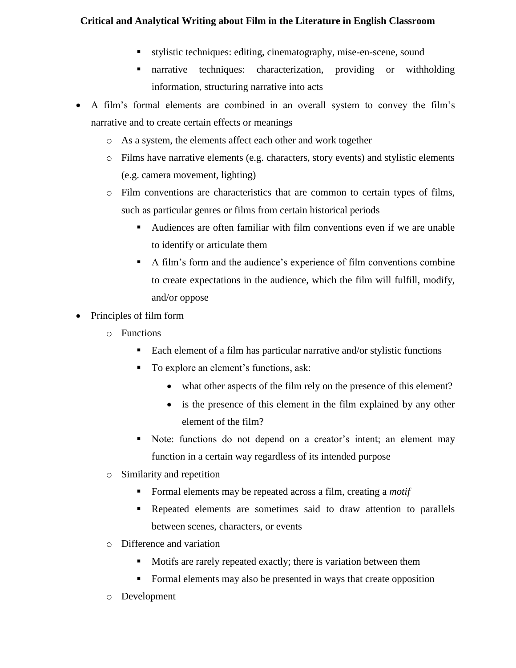- stylistic techniques: editing, cinematography, mise-en-scene, sound
- narrative techniques: characterization, providing or withholding information, structuring narrative into acts
- A film's formal elements are combined in an overall system to convey the film's narrative and to create certain effects or meanings
	- o As a system, the elements affect each other and work together
	- o Films have narrative elements (e.g. characters, story events) and stylistic elements (e.g. camera movement, lighting)
	- o Film conventions are characteristics that are common to certain types of films, such as particular genres or films from certain historical periods
		- Audiences are often familiar with film conventions even if we are unable to identify or articulate them
		- A film's form and the audience's experience of film conventions combine to create expectations in the audience, which the film will fulfill, modify, and/or oppose
- Principles of film form
	- o Functions
		- Each element of a film has particular narrative and/or stylistic functions
		- To explore an element's functions, ask:
			- what other aspects of the film rely on the presence of this element?
			- is the presence of this element in the film explained by any other element of the film?
		- Note: functions do not depend on a creator's intent; an element may function in a certain way regardless of its intended purpose
	- o Similarity and repetition
		- Formal elements may be repeated across a film, creating a *motif*
		- Repeated elements are sometimes said to draw attention to parallels between scenes, characters, or events
	- o Difference and variation
		- Motifs are rarely repeated exactly; there is variation between them
		- Formal elements may also be presented in ways that create opposition
	- o Development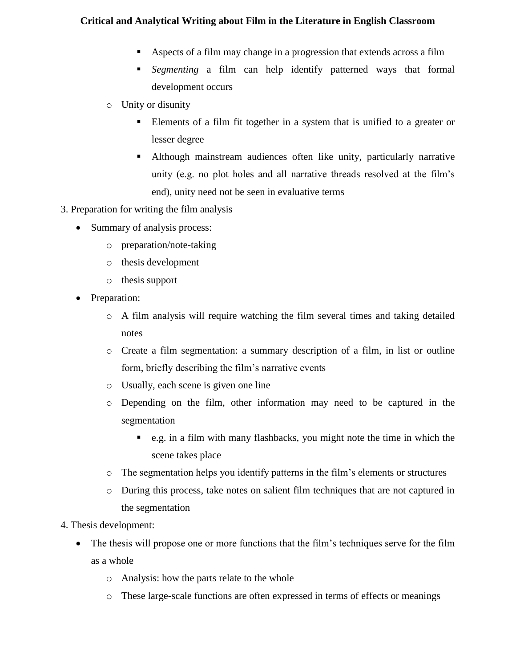- Aspects of a film may change in a progression that extends across a film
- *Segmenting* a film can help identify patterned ways that formal development occurs
- o Unity or disunity
	- Elements of a film fit together in a system that is unified to a greater or lesser degree
	- Although mainstream audiences often like unity, particularly narrative unity (e.g. no plot holes and all narrative threads resolved at the film's end), unity need not be seen in evaluative terms
- 3. Preparation for writing the film analysis
	- Summary of analysis process:
		- o preparation/note-taking
		- o thesis development
		- o thesis support
	- Preparation:
		- o A film analysis will require watching the film several times and taking detailed notes
		- o Create a film segmentation: a summary description of a film, in list or outline form, briefly describing the film's narrative events
		- o Usually, each scene is given one line
		- o Depending on the film, other information may need to be captured in the segmentation
			- e.g. in a film with many flashbacks, you might note the time in which the scene takes place
		- o The segmentation helps you identify patterns in the film's elements or structures
		- o During this process, take notes on salient film techniques that are not captured in the segmentation
- 4. Thesis development:
	- The thesis will propose one or more functions that the film's techniques serve for the film as a whole
		- o Analysis: how the parts relate to the whole
		- o These large-scale functions are often expressed in terms of effects or meanings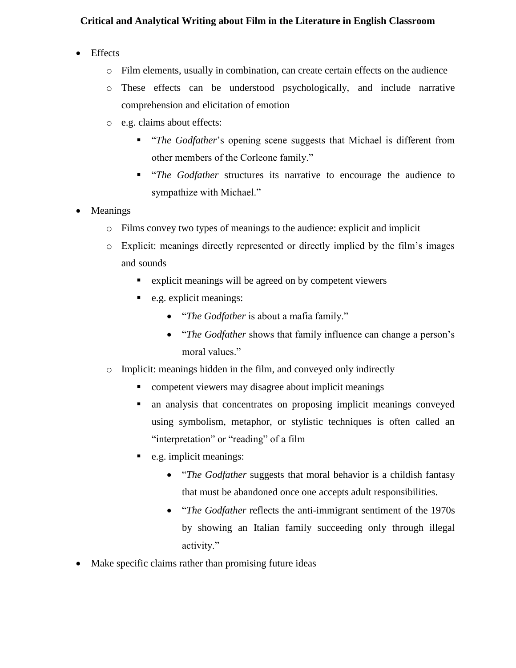- Effects
	- o Film elements, usually in combination, can create certain effects on the audience
	- o These effects can be understood psychologically, and include narrative comprehension and elicitation of emotion
	- o e.g. claims about effects:
		- "*The Godfather*'s opening scene suggests that Michael is different from other members of the Corleone family."
		- "*The Godfather* structures its narrative to encourage the audience to sympathize with Michael."
- Meanings
	- o Films convey two types of meanings to the audience: explicit and implicit
	- o Explicit: meanings directly represented or directly implied by the film's images and sounds
		- explicit meanings will be agreed on by competent viewers
		- e.g. explicit meanings:
			- "*The Godfather* is about a mafia family."
			- "*The Godfather* shows that family influence can change a person's moral values."
	- o Implicit: meanings hidden in the film, and conveyed only indirectly
		- competent viewers may disagree about implicit meanings
		- an analysis that concentrates on proposing implicit meanings conveyed using symbolism, metaphor, or stylistic techniques is often called an "interpretation" or "reading" of a film
		- e.g. implicit meanings:
			- "*The Godfather* suggests that moral behavior is a childish fantasy that must be abandoned once one accepts adult responsibilities.
			- "*The Godfather* reflects the anti-immigrant sentiment of the 1970s by showing an Italian family succeeding only through illegal activity."
- Make specific claims rather than promising future ideas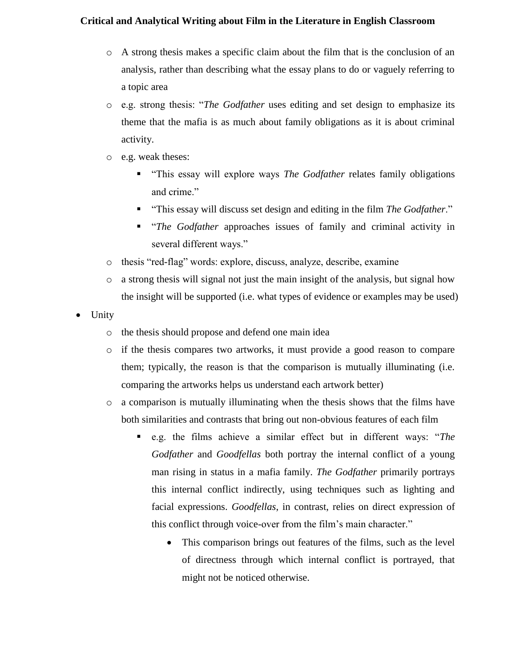- o A strong thesis makes a specific claim about the film that is the conclusion of an analysis, rather than describing what the essay plans to do or vaguely referring to a topic area
- o e.g. strong thesis: "*The Godfather* uses editing and set design to emphasize its theme that the mafia is as much about family obligations as it is about criminal activity.
- o e.g. weak theses:
	- "This essay will explore ways *The Godfather* relates family obligations and crime."
	- "This essay will discuss set design and editing in the film *The Godfather*."
	- "*The Godfather* approaches issues of family and criminal activity in several different ways."
- o thesis "red-flag" words: explore, discuss, analyze, describe, examine
- o a strong thesis will signal not just the main insight of the analysis, but signal how the insight will be supported (i.e. what types of evidence or examples may be used)
- Unity
	- o the thesis should propose and defend one main idea
	- o if the thesis compares two artworks, it must provide a good reason to compare them; typically, the reason is that the comparison is mutually illuminating (i.e. comparing the artworks helps us understand each artwork better)
	- o a comparison is mutually illuminating when the thesis shows that the films have both similarities and contrasts that bring out non-obvious features of each film
		- e.g. the films achieve a similar effect but in different ways: "*The Godfather* and *Goodfellas* both portray the internal conflict of a young man rising in status in a mafia family. *The Godfather* primarily portrays this internal conflict indirectly, using techniques such as lighting and facial expressions. *Goodfellas*, in contrast, relies on direct expression of this conflict through voice-over from the film's main character."
			- This comparison brings out features of the films, such as the level of directness through which internal conflict is portrayed, that might not be noticed otherwise.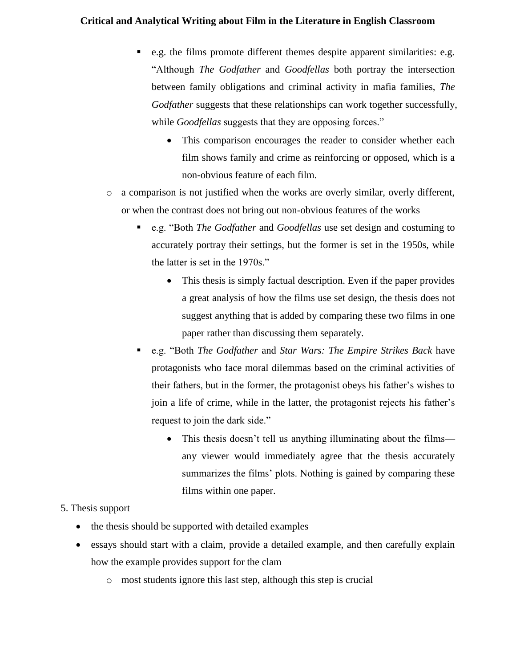- e.g. the films promote different themes despite apparent similarities: e.g. "Although *The Godfather* and *Goodfellas* both portray the intersection between family obligations and criminal activity in mafia families, *The Godfather* suggests that these relationships can work together successfully, while *Goodfellas* suggests that they are opposing forces."
	- This comparison encourages the reader to consider whether each film shows family and crime as reinforcing or opposed, which is a non-obvious feature of each film.
- o a comparison is not justified when the works are overly similar, overly different, or when the contrast does not bring out non-obvious features of the works
	- e.g. "Both *The Godfather* and *Goodfellas* use set design and costuming to accurately portray their settings, but the former is set in the 1950s, while the latter is set in the 1970s."
		- This thesis is simply factual description. Even if the paper provides a great analysis of how the films use set design, the thesis does not suggest anything that is added by comparing these two films in one paper rather than discussing them separately.
	- e.g. "Both *The Godfather* and *Star Wars: The Empire Strikes Back* have protagonists who face moral dilemmas based on the criminal activities of their fathers, but in the former, the protagonist obeys his father's wishes to join a life of crime, while in the latter, the protagonist rejects his father's request to join the dark side."
		- This thesis doesn't tell us anything illuminating about the films any viewer would immediately agree that the thesis accurately summarizes the films' plots. Nothing is gained by comparing these films within one paper.

## 5. Thesis support

- the thesis should be supported with detailed examples
- essays should start with a claim, provide a detailed example, and then carefully explain how the example provides support for the clam
	- o most students ignore this last step, although this step is crucial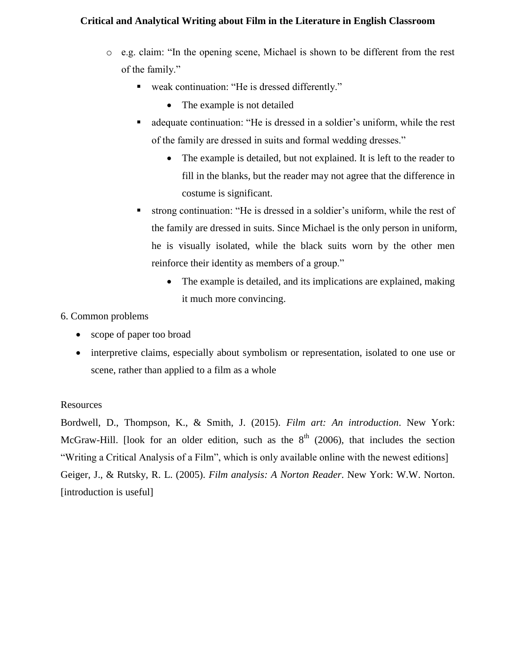- o e.g. claim: "In the opening scene, Michael is shown to be different from the rest of the family."
	- weak continuation: "He is dressed differently."
		- The example is not detailed
	- adequate continuation: "He is dressed in a soldier's uniform, while the rest of the family are dressed in suits and formal wedding dresses."
		- The example is detailed, but not explained. It is left to the reader to fill in the blanks, but the reader may not agree that the difference in costume is significant.
	- strong continuation: "He is dressed in a soldier's uniform, while the rest of the family are dressed in suits. Since Michael is the only person in uniform, he is visually isolated, while the black suits worn by the other men reinforce their identity as members of a group."
		- The example is detailed, and its implications are explained, making it much more convincing.

## 6. Common problems

- scope of paper too broad
- interpretive claims, especially about symbolism or representation, isolated to one use or scene, rather than applied to a film as a whole

## Resources

Bordwell, D., Thompson, K., & Smith, J. (2015). *Film art: An introduction*. New York: McGraw-Hill. [look for an older edition, such as the  $8<sup>th</sup>$  (2006), that includes the section "Writing a Critical Analysis of a Film", which is only available online with the newest editions] Geiger, J., & Rutsky, R. L. (2005). *Film analysis: A Norton Reader*. New York: W.W. Norton. [introduction is useful]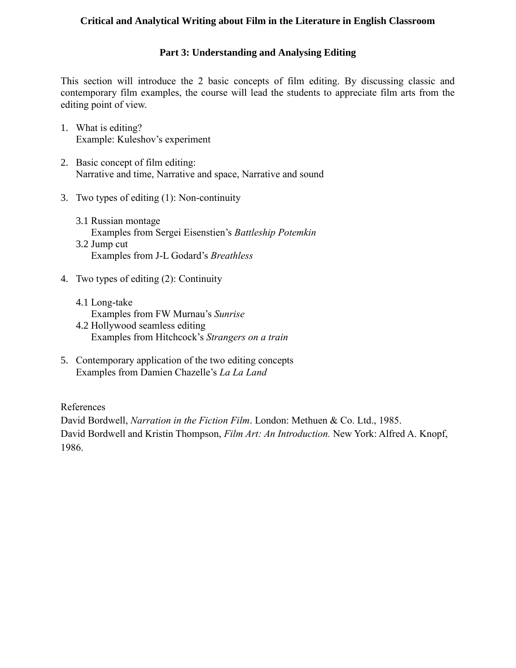# **Part 3: Understanding and Analysing Editing**

This section will introduce the 2 basic concepts of film editing. By discussing classic and contemporary film examples, the course will lead the students to appreciate film arts from the editing point of view.

- 1. What is editing? Example: Kuleshov's experiment
- 2. Basic concept of film editing: Narrative and time, Narrative and space, Narrative and sound
- 3. Two types of editing (1): Non-continuity
	- 3.1 Russian montage Examples from Sergei Eisenstien's *Battleship Potemkin* 3.2 Jump cut Examples from J-L Godard's *Breathless*
- 4. Two types of editing (2): Continuity
	- 4.1 Long-take Examples from FW Murnau's *Sunrise*
	- 4.2 Hollywood seamless editing Examples from Hitchcock's *Strangers on a train*
- 5. Contemporary application of the two editing concepts Examples from Damien Chazelle's *La La Land*

References

David Bordwell, *Narration in the Fiction Film*. London: Methuen & Co. Ltd., 1985. David Bordwell and Kristin Thompson, *Film Art: An Introduction.* New York: Alfred A. Knopf, 1986.